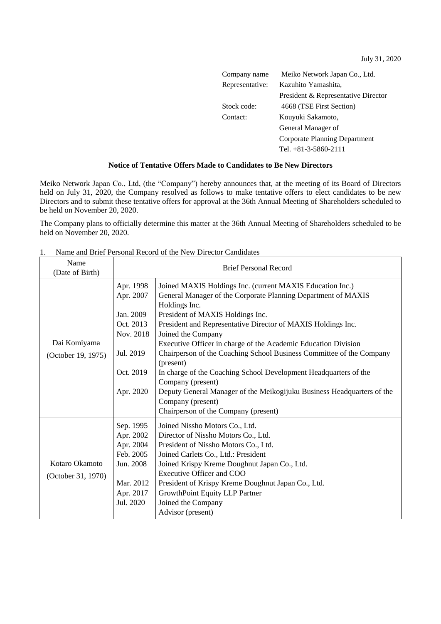July 31, 2020

| Company name    | Meiko Network Japan Co., Ltd.       |
|-----------------|-------------------------------------|
| Representative: | Kazuhito Yamashita,                 |
|                 | President & Representative Director |
| Stock code:     | 4668 (TSE First Section)            |
| Contact:        | Kouvuki Sakamoto,                   |
|                 | General Manager of                  |
|                 | Corporate Planning Department       |
|                 | Tel. $+81-3-5860-2111$              |

## **Notice of Tentative Offers Made to Candidates to Be New Directors**

Meiko Network Japan Co., Ltd, (the "Company") hereby announces that, at the meeting of its Board of Directors held on July 31, 2020, the Company resolved as follows to make tentative offers to elect candidates to be new Directors and to submit these tentative offers for approval at the 36th Annual Meeting of Shareholders scheduled to be held on November 20, 2020.

The Company plans to officially determine this matter at the 36th Annual Meeting of Shareholders scheduled to be held on November 20, 2020.

| Name               | <b>Brief Personal Record</b> |                                                                        |
|--------------------|------------------------------|------------------------------------------------------------------------|
| (Date of Birth)    |                              |                                                                        |
|                    | Apr. 1998                    | Joined MAXIS Holdings Inc. (current MAXIS Education Inc.)              |
|                    | Apr. 2007                    | General Manager of the Corporate Planning Department of MAXIS          |
|                    |                              | Holdings Inc.                                                          |
|                    | Jan. 2009                    | President of MAXIS Holdings Inc.                                       |
|                    | Oct. 2013                    | President and Representative Director of MAXIS Holdings Inc.           |
|                    | Nov. 2018                    | Joined the Company                                                     |
| Dai Komiyama       |                              | Executive Officer in charge of the Academic Education Division         |
| (October 19, 1975) | Jul. 2019                    | Chairperson of the Coaching School Business Committee of the Company   |
|                    |                              | (present)                                                              |
|                    | Oct. 2019                    | In charge of the Coaching School Development Headquarters of the       |
|                    |                              | Company (present)                                                      |
|                    | Apr. 2020                    | Deputy General Manager of the Meikogijuku Business Headquarters of the |
|                    |                              | Company (present)                                                      |
|                    |                              | Chairperson of the Company (present)                                   |
|                    | Sep. 1995                    | Joined Nissho Motors Co., Ltd.                                         |
|                    | Apr. 2002                    | Director of Nissho Motors Co., Ltd.                                    |
|                    | Apr. 2004                    | President of Nissho Motors Co., Ltd.                                   |
|                    | Feb. 2005                    | Joined Carlets Co., Ltd.: President                                    |
| Kotaro Okamoto     | Jun. 2008                    | Joined Krispy Kreme Doughnut Japan Co., Ltd.                           |
| (October 31, 1970) |                              | Executive Officer and COO                                              |
|                    | Mar. 2012                    | President of Krispy Kreme Doughnut Japan Co., Ltd.                     |
|                    | Apr. 2017                    | GrowthPoint Equity LLP Partner                                         |
|                    | Jul. 2020                    | Joined the Company                                                     |
|                    |                              | Advisor (present)                                                      |

1. Name and Brief Personal Record of the New Director Candidates